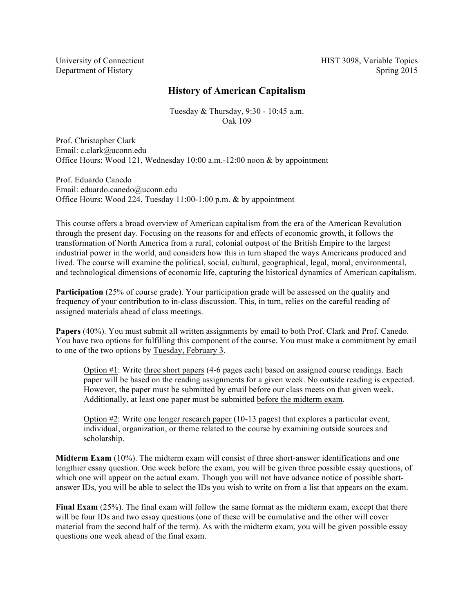University of Connecticut Department of History

# **History of American Capitalism**

Tuesday & Thursday, 9:30 - 10:45 a.m. Oak 109

Prof. Christopher Clark Email: c.clark@uconn.edu Office Hours: Wood 121, Wednesday 10:00 a.m.-12:00 noon & by appointment

Prof. Eduardo Canedo Email: eduardo.canedo@uconn.edu Office Hours: Wood 224, Tuesday 11:00-1:00 p.m. & by appointment

This course offers a broad overview of American capitalism from the era of the American Revolution through the present day. Focusing on the reasons for and effects of economic growth, it follows the transformation of North America from a rural, colonial outpost of the British Empire to the largest industrial power in the world, and considers how this in turn shaped the ways Americans produced and lived. The course will examine the political, social, cultural, geographical, legal, moral, environmental, and technological dimensions of economic life, capturing the historical dynamics of American capitalism.

**Participation** (25% of course grade). Your participation grade will be assessed on the quality and frequency of your contribution to in-class discussion. This, in turn, relies on the careful reading of assigned materials ahead of class meetings.

**Papers** (40%). You must submit all written assignments by email to both Prof. Clark and Prof. Canedo. You have two options for fulfilling this component of the course. You must make a commitment by email to one of the two options by Tuesday, February 3.

Option #1: Write three short papers (4-6 pages each) based on assigned course readings. Each paper will be based on the reading assignments for a given week. No outside reading is expected. However, the paper must be submitted by email before our class meets on that given week. Additionally, at least one paper must be submitted before the midterm exam.

Option #2: Write one longer research paper (10-13 pages) that explores a particular event, individual, organization, or theme related to the course by examining outside sources and scholarship.

**Midterm Exam** (10%). The midterm exam will consist of three short-answer identifications and one lengthier essay question. One week before the exam, you will be given three possible essay questions, of which one will appear on the actual exam. Though you will not have advance notice of possible shortanswer IDs, you will be able to select the IDs you wish to write on from a list that appears on the exam.

**Final Exam** (25%). The final exam will follow the same format as the midterm exam, except that there will be four IDs and two essay questions (one of these will be cumulative and the other will cover material from the second half of the term). As with the midterm exam, you will be given possible essay questions one week ahead of the final exam.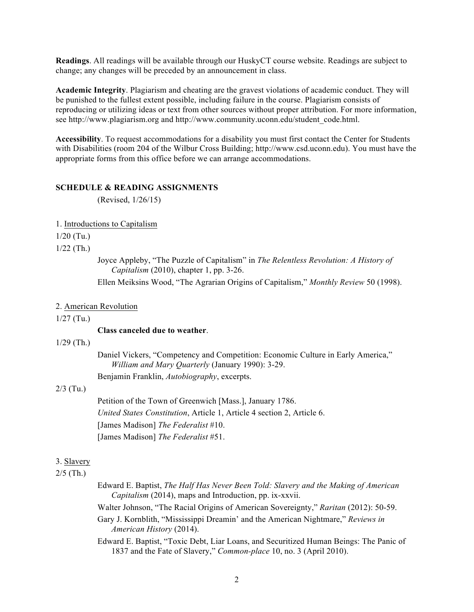**Readings**. All readings will be available through our HuskyCT course website. Readings are subject to change; any changes will be preceded by an announcement in class.

**Academic Integrity**. Plagiarism and cheating are the gravest violations of academic conduct. They will be punished to the fullest extent possible, including failure in the course. Plagiarism consists of reproducing or utilizing ideas or text from other sources without proper attribution. For more information, see http://www.plagiarism.org and http://www.community.uconn.edu/student\_code.html.

**Accessibility**. To request accommodations for a disability you must first contact the Center for Students with Disabilities (room 204 of the Wilbur Cross Building; http://www.csd.uconn.edu). You must have the appropriate forms from this office before we can arrange accommodations.

### **SCHEDULE & READING ASSIGNMENTS**

(Revised, 1/26/15)

#### 1. Introductions to Capitalism

 $1/20$  (Tu.)

 $1/22$  (Th.)

Joyce Appleby, "The Puzzle of Capitalism" in *The Relentless Revolution: A History of Capitalism* (2010), chapter 1, pp. 3-26.

Ellen Meiksins Wood, "The Agrarian Origins of Capitalism," *Monthly Review* 50 (1998).

#### 2. American Revolution

1/27 (Tu.)

### **Class canceled due to weather**.

1/29 (Th.)

Daniel Vickers, "Competency and Competition: Economic Culture in Early America," *William and Mary Quarterly* (January 1990): 3-29. Benjamin Franklin, *Autobiography*, excerpts.

#### 2/3 (Tu.)

Petition of the Town of Greenwich [Mass.], January 1786. *United States Constitution*, Article 1, Article 4 section 2, Article 6. [James Madison] *The Federalist* #10. [James Madison] *The Federalist* #51.

## 3. Slavery

## $2/5$  (Th.)

- Edward E. Baptist, *The Half Has Never Been Told: Slavery and the Making of American Capitalism* (2014), maps and Introduction, pp. ix-xxvii.
- Walter Johnson, "The Racial Origins of American Sovereignty," *Raritan* (2012): 50-59.
- Gary J. Kornblith, "Mississippi Dreamin' and the American Nightmare," *Reviews in American History* (2014).
- Edward E. Baptist, "Toxic Debt, Liar Loans, and Securitized Human Beings: The Panic of 1837 and the Fate of Slavery," *Common-place* 10, no. 3 (April 2010).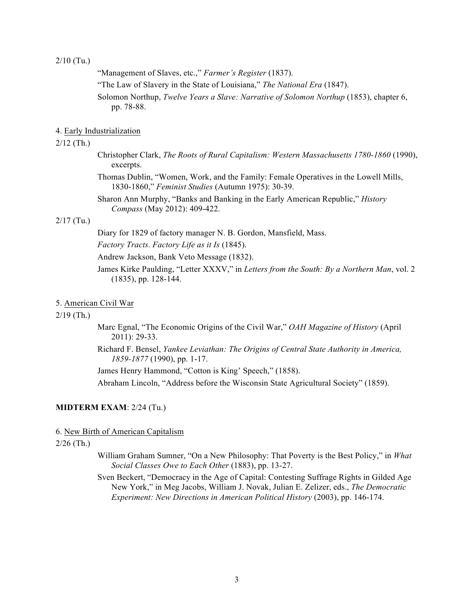$2/10$  (Tu.)

- "Management of Slaves, etc.," *Farmer's Register* (1837).
- "The Law of Slavery in the State of Louisiana," *The National Era* (1847).
- Solomon Northup, *Twelve Years a Slave: Narrative of Solomon Northup* (1853), chapter 6, pp. 78-88.

#### 4. Early Industrialization

### 2/12 (Th.)

- Christopher Clark, *The Roots of Rural Capitalism: Western Massachusetts 1780-1860* (1990), excerpts.
- Thomas Dublin, "Women, Work, and the Family: Female Operatives in the Lowell Mills, 1830-1860," *Feminist Studies* (Autumn 1975): 30-39.
- Sharon Ann Murphy, "Banks and Banking in the Early American Republic," *History Compass* (May 2012): 409-422.

## 2/17 (Tu.)

- Diary for 1829 of factory manager N. B. Gordon, Mansfield, Mass.
- *Factory Tracts. Factory Life as it Is* (1845).
- Andrew Jackson, Bank Veto Message (1832).
- James Kirke Paulding, "Letter XXXV," in *Letters from the South: By a Northern Man*, vol. 2 (1835), pp. 128-144.

#### 5. American Civil War

## 2/19 (Th.)

- Marc Egnal, "The Economic Origins of the Civil War," *OAH Magazine of History* (April 2011): 29-33.
- Richard F. Bensel, *Yankee Leviathan: The Origins of Central State Authority in America, 1859-1877* (1990), pp. 1-17.

James Henry Hammond, "Cotton is King' Speech," (1858).

Abraham Lincoln, "Address before the Wisconsin State Agricultural Society" (1859).

# **MIDTERM EXAM**: 2/24 (Tu.)

#### 6. New Birth of American Capitalism

### 2/26 (Th.)

- William Graham Sumner, "On a New Philosophy: That Poverty is the Best Policy," in *What Social Classes Owe to Each Other* (1883), pp. 13-27.
- Sven Beckert, "Democracy in the Age of Capital: Contesting Suffrage Rights in Gilded Age New York," in Meg Jacobs, William J. Novak, Julian E. Zelizer, eds., *The Democratic Experiment: New Directions in American Political History* (2003), pp. 146-174.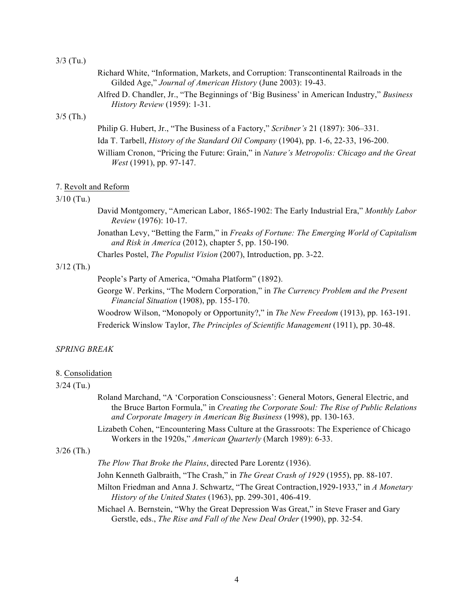#### 3/3 (Tu.)

|             | Richard White, "Information, Markets, and Corruption: Transcontinental Railroads in the                                                                                                                                                                                                                                                                |
|-------------|--------------------------------------------------------------------------------------------------------------------------------------------------------------------------------------------------------------------------------------------------------------------------------------------------------------------------------------------------------|
|             | Gilded Age," Journal of American History (June 2003): 19-43.                                                                                                                                                                                                                                                                                           |
|             | Alfred D. Chandler, Jr., "The Beginnings of 'Big Business' in American Industry," Business<br><i>History Review</i> (1959): 1-31.                                                                                                                                                                                                                      |
| $3/5$ (Th.) |                                                                                                                                                                                                                                                                                                                                                        |
|             | Philip G. Hubert, Jr., "The Business of a Factory," <i>Scribner's</i> 21 (1897): 306–331.                                                                                                                                                                                                                                                              |
|             | $\mathbf{r}$ 1 $\mathbf{r}$ $\mathbf{r}$ $\mathbf{r}$ $\mathbf{r}$ $\mathbf{r}$ $\mathbf{r}$ $\mathbf{r}$ $\mathbf{r}$ $\mathbf{r}$ $\mathbf{r}$ $\mathbf{r}$ $\mathbf{r}$ $\mathbf{r}$ $\mathbf{r}$ $\mathbf{r}$ $\mathbf{r}$ $\mathbf{r}$ $\mathbf{r}$ $\mathbf{r}$ $\mathbf{r}$ $\mathbf{r}$ $\mathbf{r}$ $\mathbf{r}$ $\math$<br>$(1001)$ $(1001)$ |

Ida T. Tarbell, *History of the Standard Oil Company* (1904), pp. 1-6, 22-33, 196-200. William Cronon, "Pricing the Future: Grain," in *Nature's Metropolis: Chicago and the Great West* (1991), pp. 97-147.

### 7. Revolt and Reform

## 3/10 (Tu.)

- David Montgomery, "American Labor, 1865-1902: The Early Industrial Era," *Monthly Labor Review* (1976): 10-17.
- Jonathan Levy, "Betting the Farm," in *Freaks of Fortune: The Emerging World of Capitalism and Risk in America* (2012), chapter 5, pp. 150-190.

Charles Postel, *The Populist Vision* (2007), Introduction, pp. 3-22.

## 3/12 (Th.)

People's Party of America, "Omaha Platform" (1892).

George W. Perkins, "The Modern Corporation," in *The Currency Problem and the Present Financial Situation* (1908), pp. 155-170.

Woodrow Wilson, "Monopoly or Opportunity?," in *The New Freedom* (1913), pp. 163-191. Frederick Winslow Taylor, *The Principles of Scientific Management* (1911), pp. 30-48.

### *SPRING BREAK*

### 8. Consolidation

#### 3/24 (Tu.)

- Roland Marchand, "A 'Corporation Consciousness': General Motors, General Electric, and the Bruce Barton Formula," in *Creating the Corporate Soul: The Rise of Public Relations and Corporate Imagery in American Big Business* (1998), pp. 130-163.
- Lizabeth Cohen, "Encountering Mass Culture at the Grassroots: The Experience of Chicago Workers in the 1920s," *American Quarterly* (March 1989): 6-33.

## 3/26 (Th.)

*The Plow That Broke the Plains*, directed Pare Lorentz (1936).

- John Kenneth Galbraith, "The Crash," in *The Great Crash of 1929* (1955), pp. 88-107.
- Milton Friedman and Anna J. Schwartz, "The Great Contraction,1929-1933," in *A Monetary History of the United States* (1963), pp. 299-301, 406-419.

Michael A. Bernstein, "Why the Great Depression Was Great," in Steve Fraser and Gary Gerstle, eds., *The Rise and Fall of the New Deal Order* (1990), pp. 32-54.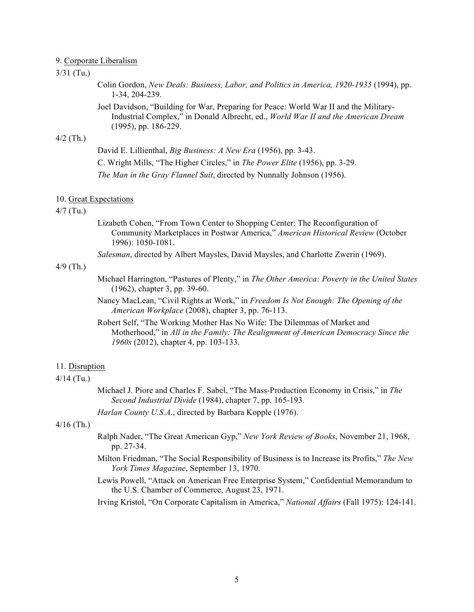### 9. Corporate Liberalism

# 3/31 (Tu.)

Colin Gordon, *New Deals: Business, Labor, and Politics in America, 1920-1935* (1994), pp. 1-34, 204-239.

Joel Davidson, "Building for War, Preparing for Peace: World War II and the Military-Industrial Complex," in Donald Albrecht, ed., *World War II and the American Dream* (1995), pp. 186-229.

#### 4/2 (Th.)

David E. Lillienthal, *Big Business: A New Era* (1956), pp. 3-43. C. Wright Mills, "The Higher Circles," in *The Power Elite* (1956), pp. 3-29.

*The Man in the Gray Flannel Suit*, directed by Nunnally Johnson (1956).

### 10. Great Expectations

#### 4/7 (Tu.)

Lizabeth Cohen, "From Town Center to Shopping Center: The Reconfiguration of Community Marketplaces in Postwar America," *American Historical Review* (October 1996): 1050-1081.

*Salesman*, directed by Albert Maysles, David Maysles, and Charlotte Zwerin (1969).

## 4/9 (Th.)

- Michael Harrington, "Pastures of Plenty," in *The Other America: Poverty in the United States* (1962), chapter 3, pp. 39-60.
- Nancy MacLean, "Civil Rights at Work," in *Freedom Is Not Enough: The Opening of the American Workplace* (2008), chapter 3, pp. 76-113.

Robert Self, "The Working Mother Has No Wife: The Dilemmas of Market and Motherhood," in *All in the Family: The Realignment of American Democracy Since the 1960s* (2012), chapter 4, pp. 103-133.

#### 11. Disruption

## 4/14 (Tu.)

Michael J. Piore and Charles F. Sabel, "The Mass-Production Economy in Crisis," in *The Second Industrial Divide* (1984), chapter 7, pp. 165-193.

*Harlan County U.S.A.*, directed by Barbara Kopple (1976).

## 4/16 (Th.)

- Ralph Nader, "The Great American Gyp," *New York Review of Books*, November 21, 1968, pp. 27-34.
- Milton Friedman, "The Social Responsibility of Business is to Increase its Profits," *The New York Times Magazine*, September 13, 1970.
- Lewis Powell, "Attack on American Free Enterprise System," Confidential Memorandum to the U.S. Chamber of Commerce, August 23, 1971.

Irving Kristol, "On Corporate Capitalism in America," *National Affairs* (Fall 1975): 124-141.